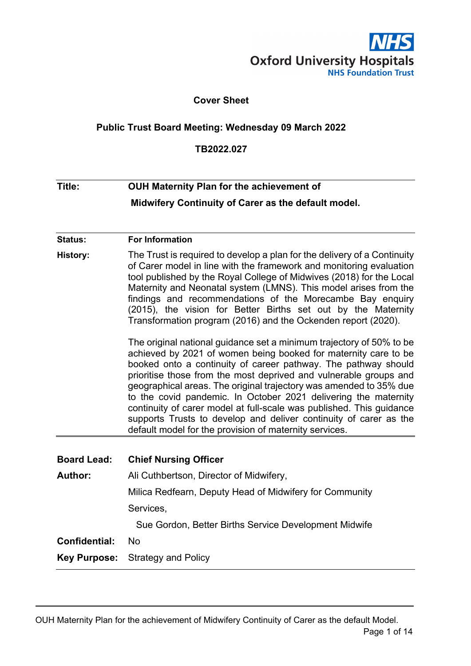

#### **Cover Sheet**

#### <span id="page-0-0"></span>**Public Trust Board Meeting: Wednesday 09 March 2022**

#### **TB2022.027**

# **Title: OUH Maternity Plan for the achievement of Midwifery Continuity of Carer as the default model.**

#### **Status: For Information**

**History:** The Trust is required to develop a plan for the delivery of a Continuity of Carer model in line with the framework and monitoring evaluation tool published by the Royal College of Midwives (2018) for the Local Maternity and Neonatal system (LMNS). This model arises from the findings and recommendations of the Morecambe Bay enquiry (2015), the vision for Better Births set out by the Maternity Transformation program (2016) and the Ockenden report (2020).

> The original national guidance set a minimum trajectory of 50% to be achieved by 2021 of women being booked for maternity care to be booked onto a continuity of career pathway. The pathway should prioritise those from the most deprived and vulnerable groups and geographical areas. The original trajectory was amended to 35% due to the covid pandemic. In October 2021 delivering the maternity continuity of carer model at full-scale was published. This guidance supports Trusts to develop and deliver continuity of carer as the default model for the provision of maternity services.

| <b>Board Lead:</b>                                 | <b>Chief Nursing Officer</b>                            |  |  |  |
|----------------------------------------------------|---------------------------------------------------------|--|--|--|
| Ali Cuthbertson, Director of Midwifery,<br>Author: |                                                         |  |  |  |
|                                                    | Milica Redfearn, Deputy Head of Midwifery for Community |  |  |  |
|                                                    | Services,                                               |  |  |  |
|                                                    | Sue Gordon, Better Births Service Development Midwife   |  |  |  |
| Confidential:                                      | No.                                                     |  |  |  |
|                                                    | <b>Key Purpose:</b> Strategy and Policy                 |  |  |  |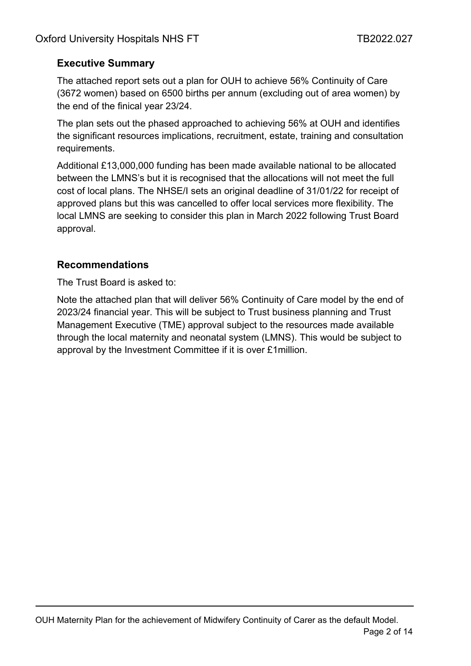### **Executive Summary**

The attached report sets out a plan for OUH to achieve 56% Continuity of Care (3672 women) based on 6500 births per annum (excluding out of area women) by the end of the finical year 23/24.

The plan sets out the phased approached to achieving 56% at OUH and identifies the significant resources implications, recruitment, estate, training and consultation requirements.

Additional £13,000,000 funding has been made available national to be allocated between the LMNS's but it is recognised that the allocations will not meet the full cost of local plans. The NHSE/I sets an original deadline of 31/01/22 for receipt of approved plans but this was cancelled to offer local services more flexibility. The local LMNS are seeking to consider this plan in March 2022 following Trust Board approval.

### **Recommendations**

The Trust Board is asked to:

Note the attached plan that will deliver 56% Continuity of Care model by the end of 2023/24 financial year. This will be subject to Trust business planning and Trust Management Executive (TME) approval subject to the resources made available through the local maternity and neonatal system (LMNS). This would be subject to approval by the Investment Committee if it is over £1million.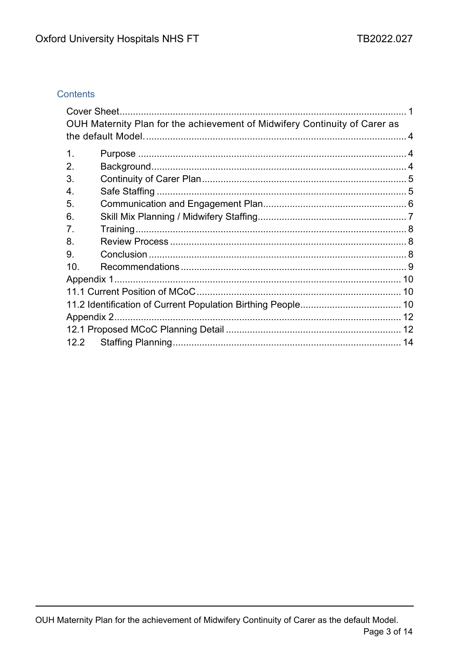### Contents

|               | OUH Maternity Plan for the achievement of Midwifery Continuity of Carer as |  |
|---------------|----------------------------------------------------------------------------|--|
|               |                                                                            |  |
| $\mathbf 1$ . |                                                                            |  |
| 2.            |                                                                            |  |
| 3.            |                                                                            |  |
| 4.            |                                                                            |  |
| 5.            |                                                                            |  |
| 6.            |                                                                            |  |
| 7.            |                                                                            |  |
| 8.            |                                                                            |  |
| 9.            |                                                                            |  |
| 10.           |                                                                            |  |
|               |                                                                            |  |
|               |                                                                            |  |
|               |                                                                            |  |
|               |                                                                            |  |
|               |                                                                            |  |
|               |                                                                            |  |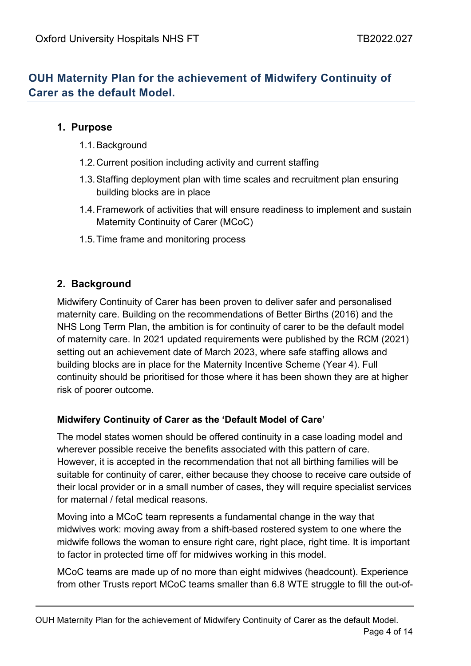# <span id="page-3-0"></span>**OUH Maternity Plan for the achievement of Midwifery Continuity of Carer as the default Model.**

### <span id="page-3-1"></span>**1. Purpose**

- 1.1.Background
- 1.2.Current position including activity and current staffing
- 1.3.Staffing deployment plan with time scales and recruitment plan ensuring building blocks are in place
- 1.4.Framework of activities that will ensure readiness to implement and sustain Maternity Continuity of Carer (MCoC)
- 1.5.Time frame and monitoring process

# <span id="page-3-2"></span>**2. Background**

Midwifery Continuity of Carer has been proven to deliver safer and personalised maternity care. Building on the recommendations of Better Births (2016) and the NHS Long Term Plan, the ambition is for continuity of carer to be the default model of maternity care. In 2021 updated requirements were published by the RCM (2021) setting out an achievement date of March 2023, where safe staffing allows and building blocks are in place for the Maternity Incentive Scheme (Year 4). Full continuity should be prioritised for those where it has been shown they are at higher risk of poorer outcome.

### **Midwifery Continuity of Carer as the 'Default Model of Care'**

The model states women should be offered continuity in a case loading model and wherever possible receive the benefits associated with this pattern of care. However, it is accepted in the recommendation that not all birthing families will be suitable for continuity of carer, either because they choose to receive care outside of their local provider or in a small number of cases, they will require specialist services for maternal / fetal medical reasons.

Moving into a MCoC team represents a fundamental change in the way that midwives work: moving away from a shift-based rostered system to one where the midwife follows the woman to ensure right care, right place, right time. It is important to factor in protected time off for midwives working in this model.

MCoC teams are made up of no more than eight midwives (headcount). Experience from other Trusts report MCoC teams smaller than 6.8 WTE struggle to fill the out-of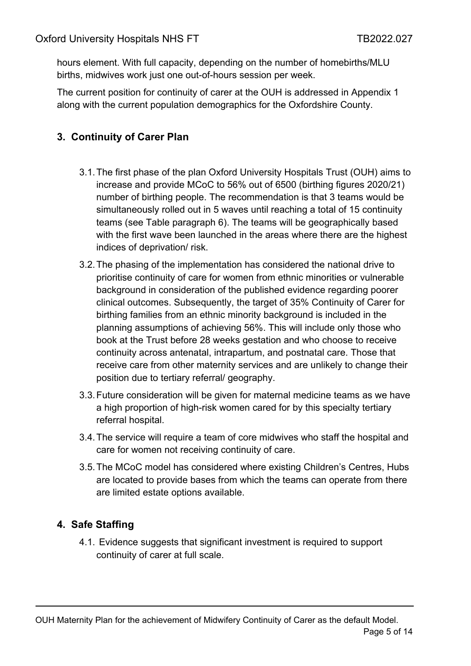hours element. With full capacity, depending on the number of homebirths/MLU births, midwives work just one out-of-hours session per week.

The current position for continuity of carer at the OUH is addressed in Appendix 1 along with the current population demographics for the Oxfordshire County.

# <span id="page-4-0"></span>**3. Continuity of Carer Plan**

- 3.1.The first phase of the plan Oxford University Hospitals Trust (OUH) aims to increase and provide MCoC to 56% out of 6500 (birthing figures 2020/21) number of birthing people. The recommendation is that 3 teams would be simultaneously rolled out in 5 waves until reaching a total of 15 continuity teams (see Table paragraph 6). The teams will be geographically based with the first wave been launched in the areas where there are the highest indices of deprivation/ risk.
- 3.2.The phasing of the implementation has considered the national drive to prioritise continuity of care for women from ethnic minorities or vulnerable background in consideration of the published evidence regarding poorer clinical outcomes. Subsequently, the target of 35% Continuity of Carer for birthing families from an ethnic minority background is included in the planning assumptions of achieving 56%. This will include only those who book at the Trust before 28 weeks gestation and who choose to receive continuity across antenatal, intrapartum, and postnatal care. Those that receive care from other maternity services and are unlikely to change their position due to tertiary referral/ geography.
- 3.3.Future consideration will be given for maternal medicine teams as we have a high proportion of high-risk women cared for by this specialty tertiary referral hospital.
- 3.4.The service will require a team of core midwives who staff the hospital and care for women not receiving continuity of care.
- 3.5.The MCoC model has considered where existing Children's Centres, Hubs are located to provide bases from which the teams can operate from there are limited estate options available.

# <span id="page-4-1"></span>**4. Safe Staffing**

4.1. Evidence suggests that significant investment is required to support continuity of carer at full scale.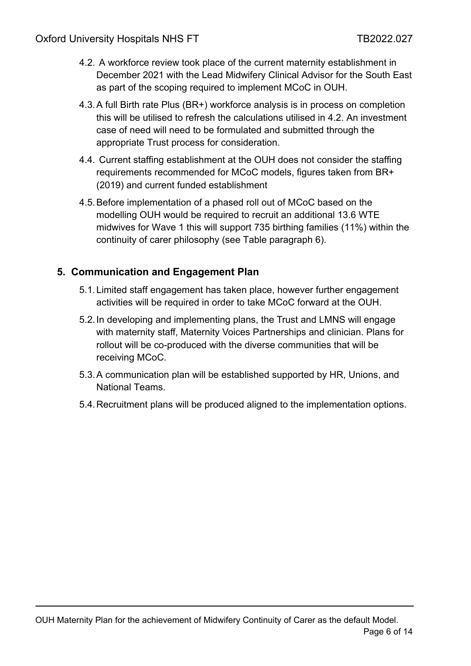- 4.2. A workforce review took place of the current maternity establishment in December 2021 with the Lead Midwifery Clinical Advisor for the South East as part of the scoping required to implement MCoC in OUH.
- 4.3.A full Birth rate Plus (BR+) workforce analysis is in process on completion this will be utilised to refresh the calculations utilised in 4.2. An investment case of need will need to be formulated and submitted through the appropriate Trust process for consideration.
- 4.4. Current staffing establishment at the OUH does not consider the staffing requirements recommended for MCoC models, figures taken from BR+ (2019) and current funded establishment
- 4.5.Before implementation of a phased roll out of MCoC based on the modelling OUH would be required to recruit an additional 13.6 WTE midwives for Wave 1 this will support 735 birthing families (11%) within the continuity of carer philosophy (see Table paragraph 6).

### <span id="page-5-0"></span>**5. Communication and Engagement Plan**

- 5.1.Limited staff engagement has taken place, however further engagement activities will be required in order to take MCoC forward at the OUH.
- 5.2.In developing and implementing plans, the Trust and LMNS will engage with maternity staff, Maternity Voices Partnerships and clinician. Plans for rollout will be co-produced with the diverse communities that will be receiving MCoC.
- 5.3.A communication plan will be established supported by HR, Unions, and National Teams.
- 5.4.Recruitment plans will be produced aligned to the implementation options.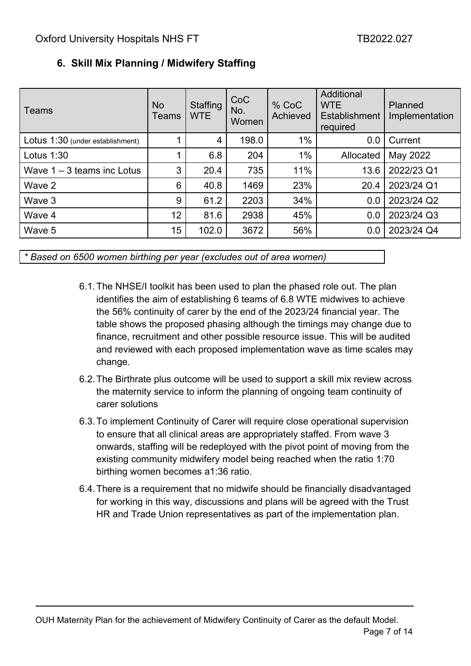| l Teams                          | <b>No</b><br>Teams | Staffing<br><b>WTE</b> | CoC<br>No.<br>Women | % CoC<br>Achieved | Additional<br><b>WTE</b><br>Establishment<br>required | Planned<br>Implementation |
|----------------------------------|--------------------|------------------------|---------------------|-------------------|-------------------------------------------------------|---------------------------|
| Lotus 1:30 (under establishment) |                    | 4                      | 198.0               | $1\%$             | 0.0                                                   | Current                   |
| Lotus $1:30$                     |                    | 6.8                    | 204                 | $1\%$             | Allocated                                             | May 2022                  |
| Wave $1 - 3$ teams inc Lotus     | 3                  | 20.4                   | 735                 | 11%               | 13.6                                                  | 2022/23 Q1                |
| Wave 2                           | 6                  | 40.8                   | 1469                | 23%               | 20.4                                                  | 2023/24 Q1                |
| Wave 3                           | 9                  | 61.2                   | 2203                | 34%               | 0.0                                                   | 2023/24 Q2                |
| Wave 4                           | 12 <sub>2</sub>    | 81.6                   | 2938                | 45%               | 0.0                                                   | 2023/24 Q3                |
| Wave 5                           | 15                 | 102.0                  | 3672                | 56%               | 0.0                                                   | 2023/24 Q4                |

# <span id="page-6-0"></span>**6. Skill Mix Planning / Midwifery Staffing**

*\* Based on 6500 women birthing per year (excludes out of area women)*

- 6.1.The NHSE/I toolkit has been used to plan the phased role out. The plan identifies the aim of establishing 6 teams of 6.8 WTE midwives to achieve the 56% continuity of carer by the end of the 2023/24 financial year. The table shows the proposed phasing although the timings may change due to finance, recruitment and other possible resource issue. This will be audited and reviewed with each proposed implementation wave as time scales may change.
- 6.2.The Birthrate plus outcome will be used to support a skill mix review across the maternity service to inform the planning of ongoing team continuity of carer solutions
- 6.3.To implement Continuity of Carer will require close operational supervision to ensure that all clinical areas are appropriately staffed. From wave 3 onwards, staffing will be redeployed with the pivot point of moving from the existing community midwifery model being reached when the ratio 1:70 birthing women becomes a1:36 ratio.
- 6.4.There is a requirement that no midwife should be financially disadvantaged for working in this way, discussions and plans will be agreed with the Trust HR and Trade Union representatives as part of the implementation plan.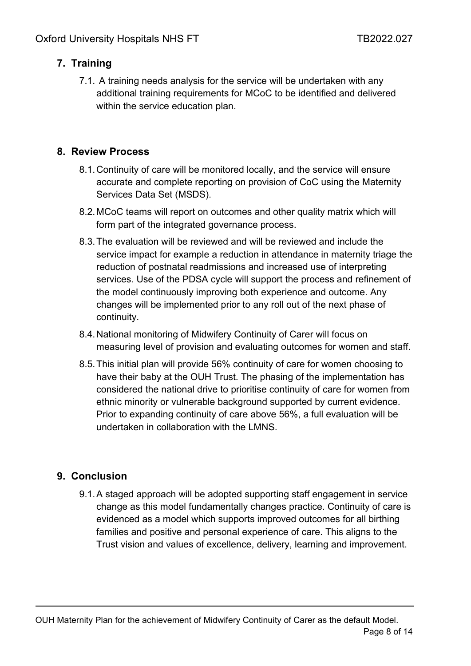# <span id="page-7-0"></span>**7. Training**

7.1. A training needs analysis for the service will be undertaken with any additional training requirements for MCoC to be identified and delivered within the service education plan.

### <span id="page-7-1"></span>**8. Review Process**

- 8.1.Continuity of care will be monitored locally, and the service will ensure accurate and complete reporting on provision of CoC using the Maternity Services Data Set (MSDS).
- 8.2.MCoC teams will report on outcomes and other quality matrix which will form part of the integrated governance process.
- 8.3.The evaluation will be reviewed and will be reviewed and include the service impact for example a reduction in attendance in maternity triage the reduction of postnatal readmissions and increased use of interpreting services. Use of the PDSA cycle will support the process and refinement of the model continuously improving both experience and outcome. Any changes will be implemented prior to any roll out of the next phase of continuity.
- 8.4.National monitoring of Midwifery Continuity of Carer will focus on measuring level of provision and evaluating outcomes for women and staff.
- 8.5.This initial plan will provide 56% continuity of care for women choosing to have their baby at the OUH Trust. The phasing of the implementation has considered the national drive to prioritise continuity of care for women from ethnic minority or vulnerable background supported by current evidence. Prior to expanding continuity of care above 56%, a full evaluation will be undertaken in collaboration with the LMNS.

### <span id="page-7-2"></span>**9. Conclusion**

9.1.A staged approach will be adopted supporting staff engagement in service change as this model fundamentally changes practice. Continuity of care is evidenced as a model which supports improved outcomes for all birthing families and positive and personal experience of care. This aligns to the Trust vision and values of excellence, delivery, learning and improvement.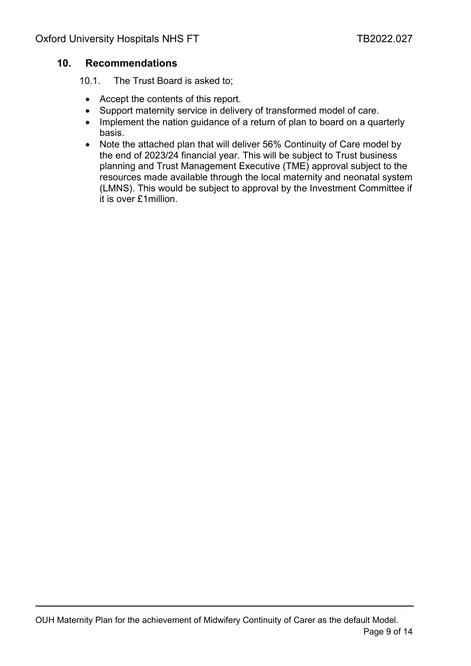#### <span id="page-8-0"></span>**10. Recommendations**

10.1. The Trust Board is asked to;

- Accept the contents of this report.
- Support maternity service in delivery of transformed model of care.
- Implement the nation quidance of a return of plan to board on a quarterly basis.
- Note the attached plan that will deliver 56% Continuity of Care model by the end of 2023/24 financial year. This will be subject to Trust business planning and Trust Management Executive (TME) approval subject to the resources made available through the local maternity and neonatal system (LMNS). This would be subject to approval by the Investment Committee if it is over £1million.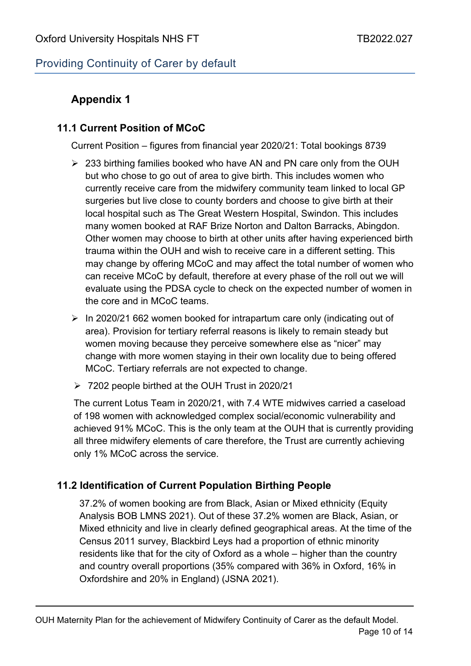# Providing Continuity of Carer by default

# <span id="page-9-0"></span>**Appendix 1**

### <span id="page-9-1"></span>**11.1 Current Position of MCoC**

Current Position – figures from financial year 2020/21: Total bookings 8739

- $\geq$  233 birthing families booked who have AN and PN care only from the OUH but who chose to go out of area to give birth. This includes women who currently receive care from the midwifery community team linked to local GP surgeries but live close to county borders and choose to give birth at their local hospital such as The Great Western Hospital, Swindon. This includes many women booked at RAF Brize Norton and Dalton Barracks, Abingdon. Other women may choose to birth at other units after having experienced birth trauma within the OUH and wish to receive care in a different setting. This may change by offering MCoC and may affect the total number of women who can receive MCoC by default, therefore at every phase of the roll out we will evaluate using the PDSA cycle to check on the expected number of women in the core and in MCoC teams.
- $\triangleright$  In 2020/21 662 women booked for intrapartum care only (indicating out of area). Provision for tertiary referral reasons is likely to remain steady but women moving because they perceive somewhere else as "nicer" may change with more women staying in their own locality due to being offered MCoC. Tertiary referrals are not expected to change.
- 7202 people birthed at the OUH Trust in 2020/21

The current Lotus Team in 2020/21, with 7.4 WTE midwives carried a caseload of 198 women with acknowledged complex social/economic vulnerability and achieved 91% MCoC. This is the only team at the OUH that is currently providing all three midwifery elements of care therefore, the Trust are currently achieving only 1% MCoC across the service.

# <span id="page-9-2"></span>**11.2 Identification of Current Population Birthing People**

37.2% of women booking are from Black, Asian or Mixed ethnicity (Equity Analysis BOB LMNS 2021). Out of these 37.2% women are Black, Asian, or Mixed ethnicity and live in clearly defined geographical areas. At the time of the Census 2011 survey, Blackbird Leys had a proportion of ethnic minority residents like that for the city of Oxford as a whole – higher than the country and country overall proportions (35% compared with 36% in Oxford, 16% in Oxfordshire and 20% in England) (JSNA 2021).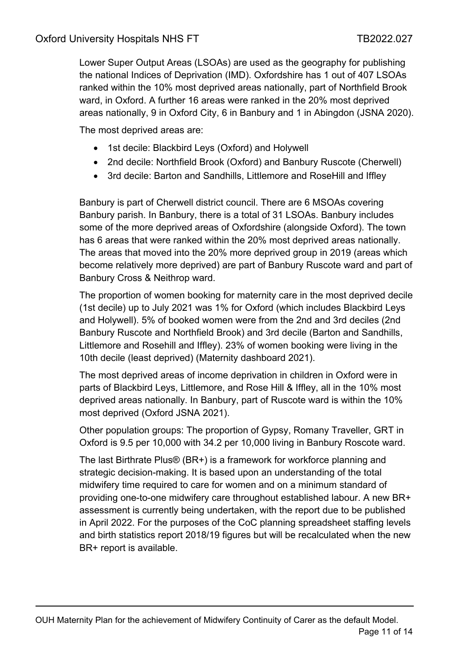Lower Super Output Areas (LSOAs) are used as the geography for publishing the national Indices of Deprivation (IMD). Oxfordshire has 1 out of 407 LSOAs ranked within the 10% most deprived areas nationally, part of Northfield Brook ward, in Oxford. A further 16 areas were ranked in the 20% most deprived areas nationally, 9 in Oxford City, 6 in Banbury and 1 in Abingdon (JSNA 2020).

The most deprived areas are:

- 1st decile: Blackbird Leys (Oxford) and Holywell
- 2nd decile: Northfield Brook (Oxford) and Banbury Ruscote (Cherwell)
- 3rd decile: Barton and Sandhills, Littlemore and RoseHill and Iffley

Banbury is part of Cherwell district council. There are 6 MSOAs covering Banbury parish. In Banbury, there is a total of 31 LSOAs. Banbury includes some of the more deprived areas of Oxfordshire (alongside Oxford). The town has 6 areas that were ranked within the 20% most deprived areas nationally. The areas that moved into the 20% more deprived group in 2019 (areas which become relatively more deprived) are part of Banbury Ruscote ward and part of Banbury Cross & Neithrop ward.

The proportion of women booking for maternity care in the most deprived decile (1st decile) up to July 2021 was 1% for Oxford (which includes Blackbird Leys and Holywell). 5% of booked women were from the 2nd and 3rd deciles (2nd Banbury Ruscote and Northfield Brook) and 3rd decile (Barton and Sandhills, Littlemore and Rosehill and Iffley). 23% of women booking were living in the 10th decile (least deprived) (Maternity dashboard 2021).

The most deprived areas of income deprivation in children in Oxford were in parts of Blackbird Leys, Littlemore, and Rose Hill & Iffley, all in the 10% most deprived areas nationally. In Banbury, part of Ruscote ward is within the 10% most deprived (Oxford JSNA 2021).

Other population groups: The proportion of Gypsy, Romany Traveller, GRT in Oxford is 9.5 per 10,000 with 34.2 per 10,000 living in Banbury Roscote ward.

The last Birthrate Plus® (BR+) is a framework for workforce planning and strategic decision-making. It is based upon an understanding of the total midwifery time required to care for women and on a minimum standard of providing one-to-one midwifery care throughout established labour. A new BR+ assessment is currently being undertaken, with the report due to be published in April 2022. For the purposes of the CoC planning spreadsheet staffing levels and birth statistics report 2018/19 figures but will be recalculated when the new BR+ report is available.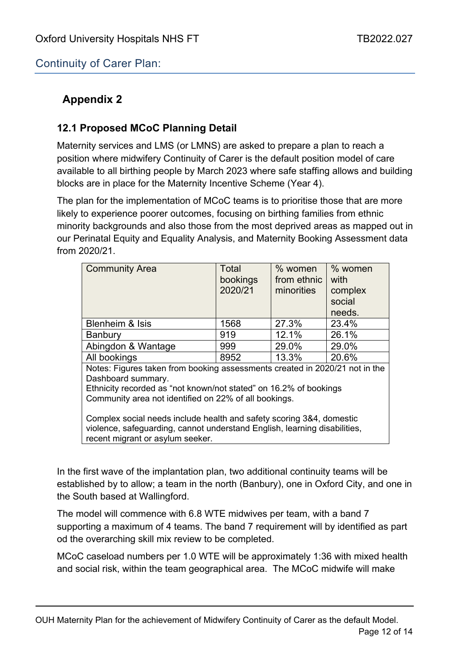Continuity of Carer Plan:

# <span id="page-11-0"></span>**Appendix 2**

# <span id="page-11-1"></span>**12.1 Proposed MCoC Planning Detail**

Maternity services and LMS (or LMNS) are asked to prepare a plan to reach a position where midwifery Continuity of Carer is the default position model of care available to all birthing people by March 2023 where safe staffing allows and building blocks are in place for the Maternity Incentive Scheme (Year 4).

The plan for the implementation of MCoC teams is to prioritise those that are more likely to experience poorer outcomes, focusing on birthing families from ethnic minority backgrounds and also those from the most deprived areas as mapped out in our Perinatal Equity and Equality Analysis, and Maternity Booking Assessment data from 2020/21.

| <b>Community Area</b>                                                                                                                                                                                                           | Total<br>bookings<br>2020/21 | % women<br>from ethnic<br>minorities | % women<br>with<br>complex<br>social<br>needs. |  |  |  |  |
|---------------------------------------------------------------------------------------------------------------------------------------------------------------------------------------------------------------------------------|------------------------------|--------------------------------------|------------------------------------------------|--|--|--|--|
| Blenheim & Isis                                                                                                                                                                                                                 | 1568                         | 27.3%                                | 23.4%                                          |  |  |  |  |
| <b>Banbury</b>                                                                                                                                                                                                                  | 919                          | 12.1%                                | 26.1%                                          |  |  |  |  |
| Abingdon & Wantage                                                                                                                                                                                                              | 999                          | 29.0%                                | 29.0%                                          |  |  |  |  |
| All bookings                                                                                                                                                                                                                    | 8952                         | 13.3%                                | 20.6%                                          |  |  |  |  |
| Notes: Figures taken from booking assessments created in 2020/21 not in the<br>Dashboard summary.<br>Ethnicity recorded as "not known/not stated" on 16.2% of bookings<br>Community area not identified on 22% of all bookings. |                              |                                      |                                                |  |  |  |  |
| Complex social needs include health and safety scoring 3&4, domestic<br>violence, safeguarding, cannot understand English, learning disabilities,<br>recent migrant or asylum seeker.                                           |                              |                                      |                                                |  |  |  |  |

In the first wave of the implantation plan, two additional continuity teams will be established by to allow; a team in the north (Banbury), one in Oxford City, and one in the South based at Wallingford.

The model will commence with 6.8 WTE midwives per team, with a band 7 supporting a maximum of 4 teams. The band 7 requirement will by identified as part od the overarching skill mix review to be completed.

MCoC caseload numbers per 1.0 WTE will be approximately 1:36 with mixed health and social risk, within the team geographical area. The MCoC midwife will make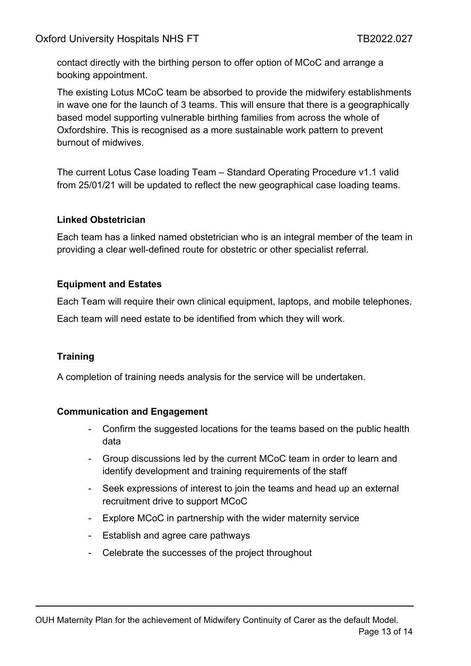contact directly with the birthing person to offer option of MCoC and arrange a booking appointment.

The existing Lotus MCoC team be absorbed to provide the midwifery establishments in wave one for the launch of 3 teams. This will ensure that there is a geographically based model supporting vulnerable birthing families from across the whole of Oxfordshire. This is recognised as a more sustainable work pattern to prevent burnout of midwives.

The current Lotus Case loading Team – Standard Operating Procedure v1.1 valid from 25/01/21 will be updated to reflect the new geographical case loading teams.

#### **Linked Obstetrician**

Each team has a linked named obstetrician who is an integral member of the team in providing a clear well-defined route for obstetric or other specialist referral.

#### **Equipment and Estates**

Each Team will require their own clinical equipment, laptops, and mobile telephones.

Each team will need estate to be identified from which they will work.

#### **Training**

A completion of training needs analysis for the service will be undertaken.

#### **Communication and Engagement**

- Confirm the suggested locations for the teams based on the public health data
- Group discussions led by the current MCoC team in order to learn and identify development and training requirements of the staff
- Seek expressions of interest to join the teams and head up an external recruitment drive to support MCoC
- Explore MCoC in partnership with the wider maternity service
- Establish and agree care pathways
- Celebrate the successes of the project throughout